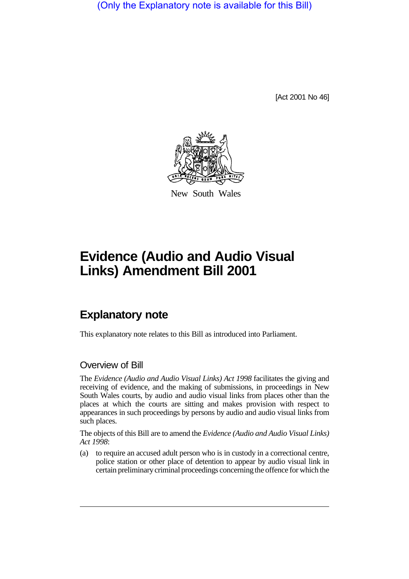(Only the Explanatory note is available for this Bill)

[Act 2001 No 46]



New South Wales

# **Evidence (Audio and Audio Visual Links) Amendment Bill 2001**

## **Explanatory note**

This explanatory note relates to this Bill as introduced into Parliament.

#### Overview of Bill

The *Evidence (Audio and Audio Visual Links) Act 1998* facilitates the giving and receiving of evidence, and the making of submissions, in proceedings in New South Wales courts, by audio and audio visual links from places other than the places at which the courts are sitting and makes provision with respect to appearances in such proceedings by persons by audio and audio visual links from such places.

The objects of this Bill are to amend the *Evidence (Audio and Audio Visual Links) Act 1998*:

(a) to require an accused adult person who is in custody in a correctional centre, police station or other place of detention to appear by audio visual link in certain preliminary criminal proceedings concerning the offence for which the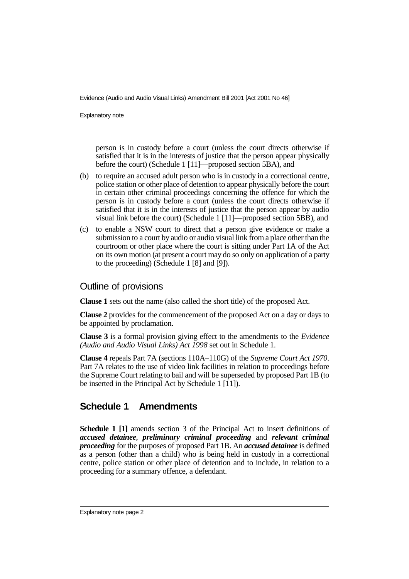Explanatory note

person is in custody before a court (unless the court directs otherwise if satisfied that it is in the interests of justice that the person appear physically before the court) (Schedule 1 [11]—proposed section 5BA), and

- (b) to require an accused adult person who is in custody in a correctional centre, police station or other place of detention to appear physically before the court in certain other criminal proceedings concerning the offence for which the person is in custody before a court (unless the court directs otherwise if satisfied that it is in the interests of justice that the person appear by audio visual link before the court) (Schedule 1 [11]—proposed section 5BB), and
- (c) to enable a NSW court to direct that a person give evidence or make a submission to a court by audio or audio visual link from a place other than the courtroom or other place where the court is sitting under Part 1A of the Act on its own motion (at present a court may do so only on application of a party to the proceeding) (Schedule 1 [8] and [9]).

#### Outline of provisions

**Clause 1** sets out the name (also called the short title) of the proposed Act.

**Clause 2** provides for the commencement of the proposed Act on a day or days to be appointed by proclamation.

**Clause 3** is a formal provision giving effect to the amendments to the *Evidence (Audio and Audio Visual Links) Act 1998* set out in Schedule 1.

**Clause 4** repeals Part 7A (sections 110A–110G) of the *Supreme Court Act 1970*. Part 7A relates to the use of video link facilities in relation to proceedings before the Supreme Court relating to bail and will be superseded by proposed Part 1B (to be inserted in the Principal Act by Schedule 1 [11]).

### **Schedule 1 Amendments**

**Schedule 1 [1]** amends section 3 of the Principal Act to insert definitions of *accused detainee*, *preliminary criminal proceeding* and *relevant criminal proceeding* for the purposes of proposed Part 1B. An *accused detainee* is defined as a person (other than a child) who is being held in custody in a correctional centre, police station or other place of detention and to include, in relation to a proceeding for a summary offence, a defendant.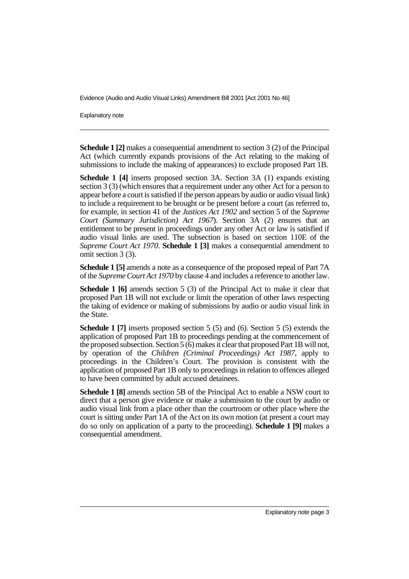Explanatory note

**Schedule 1 [2]** makes a consequential amendment to section 3 (2) of the Principal Act (which currently expands provisions of the Act relating to the making of submissions to include the making of appearances) to exclude proposed Part 1B.

**Schedule 1 [4]** inserts proposed section 3A. Section 3A (1) expands existing section 3 (3) (which ensures that a requirement under any other Act for a person to appear before a court is satisfied if the person appears by audio or audio visual link) to include a requirement to be brought or be present before a court (as referred to, for example, in section 41 of the *Justices Act 1902* and section 5 of the *Supreme Court (Summary Jurisdiction) Act 1967*). Section 3A (2) ensures that an entitlement to be present in proceedings under any other Act or law is satisfied if audio visual links are used. The subsection is based on section 110E of the *Supreme Court Act 1970*. **Schedule 1 [3]** makes a consequential amendment to omit section 3 (3).

**Schedule 1 [5]** amends a note as a consequence of the proposed repeal of Part 7A of the *Supreme Court Act 1970* by clause 4 and includes a reference to another law.

**Schedule 1 [6]** amends section 5 (3) of the Principal Act to make it clear that proposed Part 1B will not exclude or limit the operation of other laws respecting the taking of evidence or making of submissions by audio or audio visual link in the State.

**Schedule 1 [7]** inserts proposed section 5 (5) and (6). Section 5 (5) extends the application of proposed Part 1B to proceedings pending at the commencement of the proposed subsection. Section 5 (6) makes it clear that proposed Part 1B will not, by operation of the *Children (Criminal Proceedings) Act 1987*, apply to proceedings in the Children's Court. The provision is consistent with the application of proposed Part 1B only to proceedings in relation to offences alleged to have been committed by adult accused detainees.

**Schedule 1 [8]** amends section 5B of the Principal Act to enable a NSW court to direct that a person give evidence or make a submission to the court by audio or audio visual link from a place other than the courtroom or other place where the court is sitting under Part 1A of the Act on its own motion (at present a court may do so only on application of a party to the proceeding). **Schedule 1 [9]** makes a consequential amendment.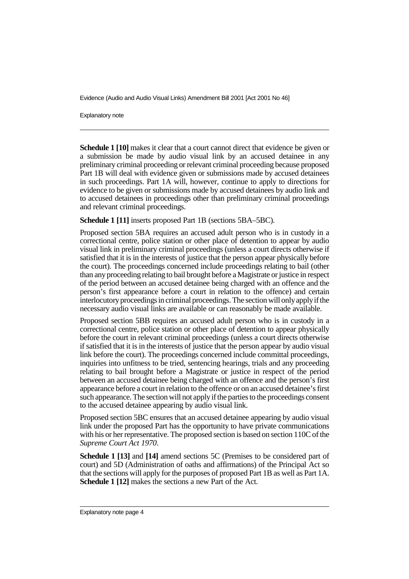Explanatory note

**Schedule 1 [10]** makes it clear that a court cannot direct that evidence be given or a submission be made by audio visual link by an accused detainee in any preliminary criminal proceeding or relevant criminal proceeding because proposed Part 1B will deal with evidence given or submissions made by accused detainees in such proceedings. Part 1A will, however, continue to apply to directions for evidence to be given or submissions made by accused detainees by audio link and to accused detainees in proceedings other than preliminary criminal proceedings and relevant criminal proceedings.

**Schedule 1 [11]** inserts proposed Part 1B (sections 5BA–5BC).

Proposed section 5BA requires an accused adult person who is in custody in a correctional centre, police station or other place of detention to appear by audio visual link in preliminary criminal proceedings (unless a court directs otherwise if satisfied that it is in the interests of justice that the person appear physically before the court). The proceedings concerned include proceedings relating to bail (other than any proceeding relating to bail brought before a Magistrate or justice in respect of the period between an accused detainee being charged with an offence and the person's first appearance before a court in relation to the offence) and certain interlocutory proceedings in criminal proceedings. The section will only apply if the necessary audio visual links are available or can reasonably be made available.

Proposed section 5BB requires an accused adult person who is in custody in a correctional centre, police station or other place of detention to appear physically before the court in relevant criminal proceedings (unless a court directs otherwise if satisfied that it is in the interests of justice that the person appear by audio visual link before the court). The proceedings concerned include committal proceedings, inquiries into unfitness to be tried, sentencing hearings, trials and any proceeding relating to bail brought before a Magistrate or justice in respect of the period between an accused detainee being charged with an offence and the person's first appearance before a court in relation to the offence or on an accused detainee's first such appearance. The section will not apply if the parties to the proceedings consent to the accused detainee appearing by audio visual link.

Proposed section 5BC ensures that an accused detainee appearing by audio visual link under the proposed Part has the opportunity to have private communications with his or her representative. The proposed section is based on section 110C of the *Supreme Court Act 1970*.

**Schedule 1 [13]** and **[14]** amend sections 5C (Premises to be considered part of court) and 5D (Administration of oaths and affirmations) of the Principal Act so that the sections will apply for the purposes of proposed Part 1B as well as Part 1A. **Schedule 1 [12]** makes the sections a new Part of the Act.